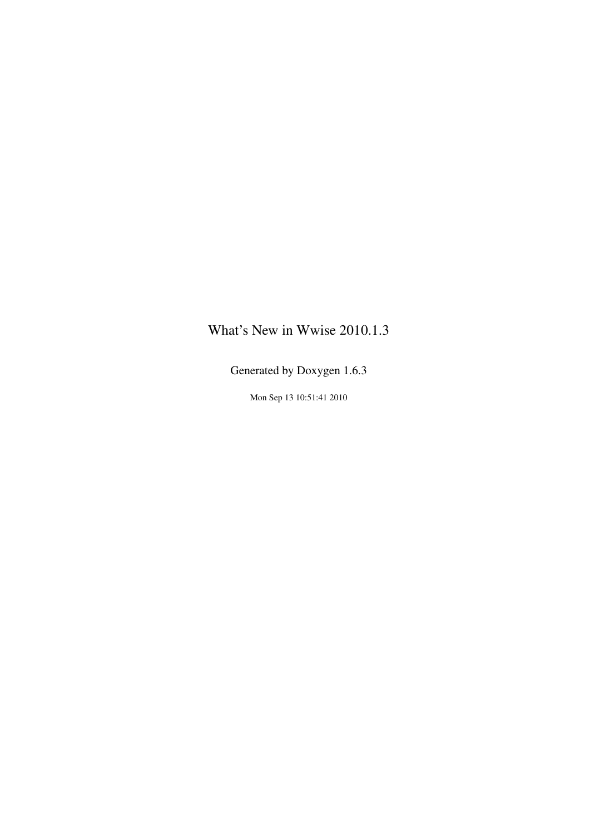# <span id="page-0-0"></span>What's New in Wwise 2010.1.3

Generated by Doxygen 1.6.3

Mon Sep 13 10:51:41 2010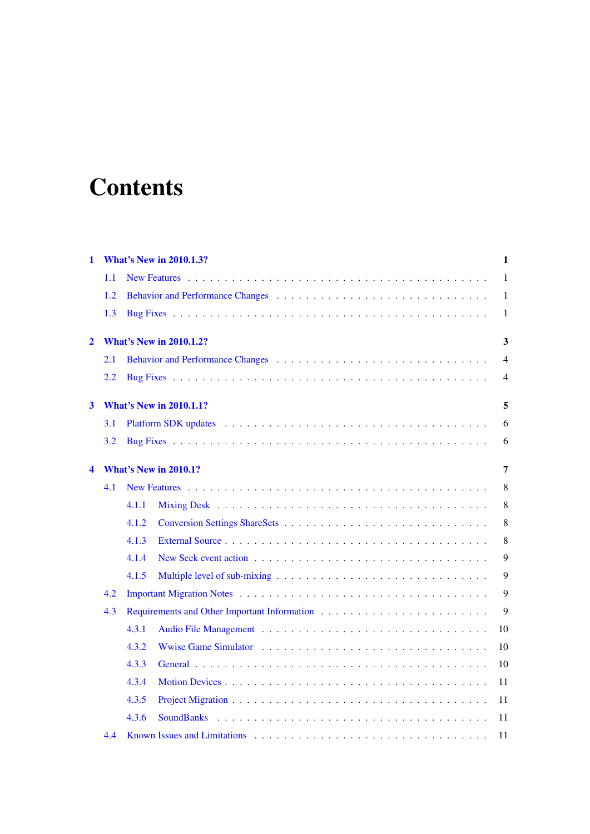# **Contents**

| 1              | <b>What's New in 2010.1.3?</b>    |       |                |  |  |
|----------------|-----------------------------------|-------|----------------|--|--|
|                | 1.1                               |       | 1              |  |  |
|                | 1.2                               |       | $\mathbf{1}$   |  |  |
|                | 1.3                               |       | 1              |  |  |
| $\overline{2}$ | <b>What's New in 2010.1.2?</b>    |       |                |  |  |
|                | 2.1                               |       | 4              |  |  |
|                | 2.2                               |       | $\overline{4}$ |  |  |
| 3              | <b>What's New in 2010.1.1?</b>    |       |                |  |  |
|                | 3.1                               |       | 6              |  |  |
|                | 3.2                               |       | 6              |  |  |
| 4              | <b>What's New in 2010.1?</b><br>7 |       |                |  |  |
|                | 4.1                               |       | 8              |  |  |
|                |                                   | 4.1.1 | 8              |  |  |
|                |                                   | 4.1.2 | $\,8\,$        |  |  |
|                |                                   | 4.1.3 | 8              |  |  |
|                |                                   | 4.1.4 | 9              |  |  |
|                |                                   | 4.1.5 | 9              |  |  |
|                | 4.2                               |       | 9              |  |  |
|                | 4.3                               |       | 9              |  |  |
|                |                                   | 4.3.1 | 10             |  |  |
|                |                                   | 4.3.2 | 10             |  |  |
|                |                                   | 4.3.3 | 10             |  |  |
|                |                                   | 4.3.4 | 11             |  |  |
|                |                                   | 4.3.5 | 11             |  |  |
|                |                                   | 4.3.6 | 11             |  |  |
|                | 4.4                               |       | 11             |  |  |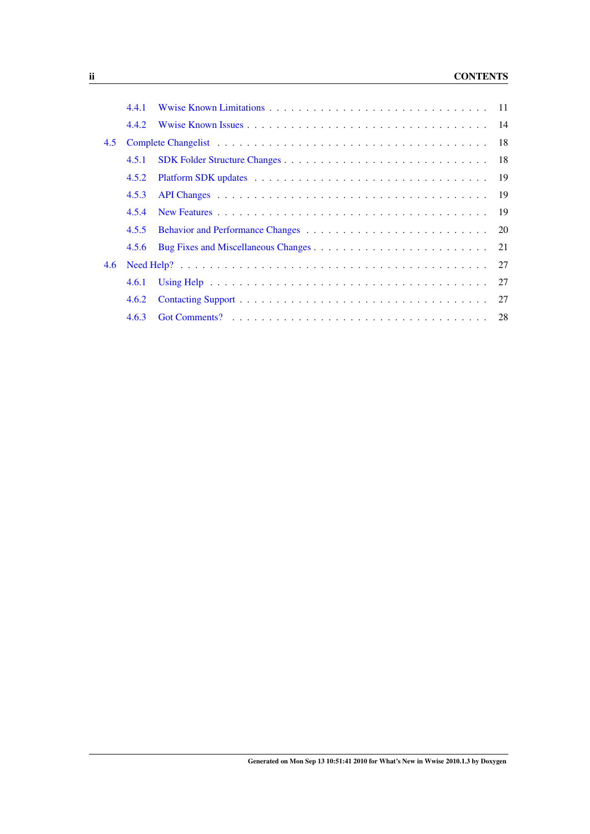# ii CONTENTS

|     | 4.4.1 |  |
|-----|-------|--|
|     | 4.4.2 |  |
| 4.5 |       |  |
|     | 4.5.1 |  |
|     | 4.5.2 |  |
|     | 4.5.3 |  |
|     | 4.5.4 |  |
|     | 4.5.5 |  |
|     | 4.5.6 |  |
| 4.6 |       |  |
|     | 4.6.1 |  |
|     | 4.6.2 |  |
|     | 4.6.3 |  |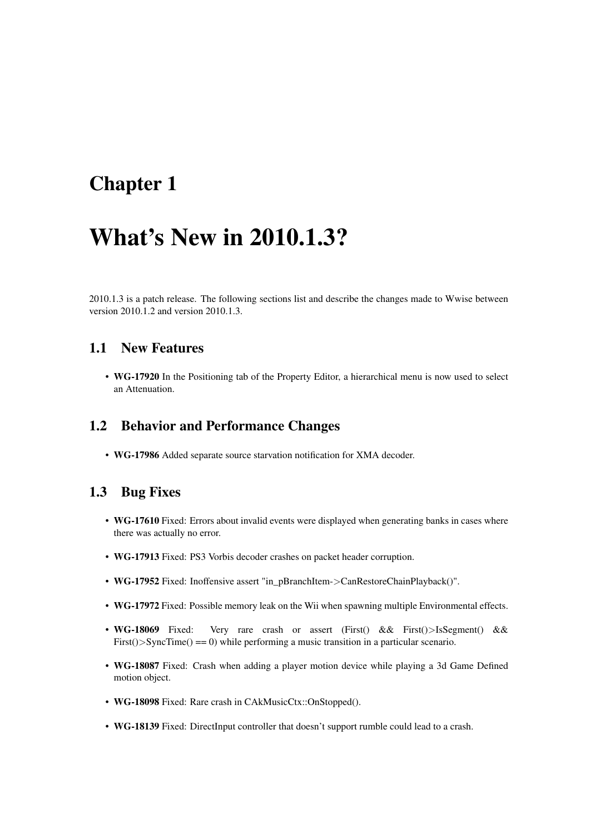# <span id="page-4-0"></span>Chapter 1

# What's New in 2010.1.3?

2010.1.3 is a patch release. The following sections list and describe the changes made to Wwise between version 2010.1.2 and version 2010.1.3.

# <span id="page-4-1"></span>1.1 New Features

• WG-17920 In the Positioning tab of the Property Editor, a hierarchical menu is now used to select an Attenuation.

### <span id="page-4-2"></span>1.2 Behavior and Performance Changes

• WG-17986 Added separate source starvation notification for XMA decoder.

### <span id="page-4-3"></span>1.3 Bug Fixes

- WG-17610 Fixed: Errors about invalid events were displayed when generating banks in cases where there was actually no error.
- WG-17913 Fixed: PS3 Vorbis decoder crashes on packet header corruption.
- WG-17952 Fixed: Inoffensive assert "in\_pBranchItem->CanRestoreChainPlayback()".
- WG-17972 Fixed: Possible memory leak on the Wii when spawning multiple Environmental effects.
- WG-18069 Fixed: Very rare crash or assert (First() && First()>IsSegment() && First() $>$ SyncTime() == 0) while performing a music transition in a particular scenario.
- WG-18087 Fixed: Crash when adding a player motion device while playing a 3d Game Defined motion object.
- WG-18098 Fixed: Rare crash in CAkMusicCtx::OnStopped().
- WG-18139 Fixed: DirectInput controller that doesn't support rumble could lead to a crash.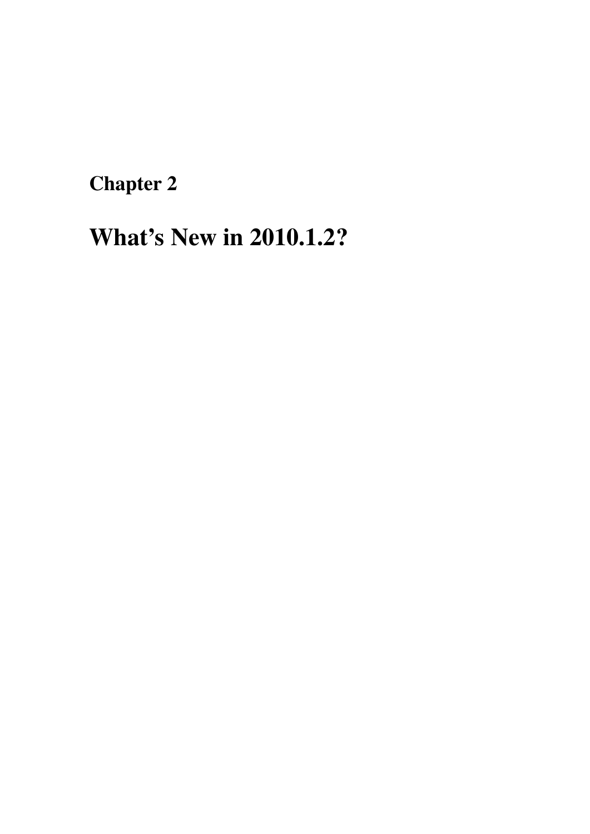<span id="page-6-0"></span>Chapter 2

# What's New in 2010.1.2?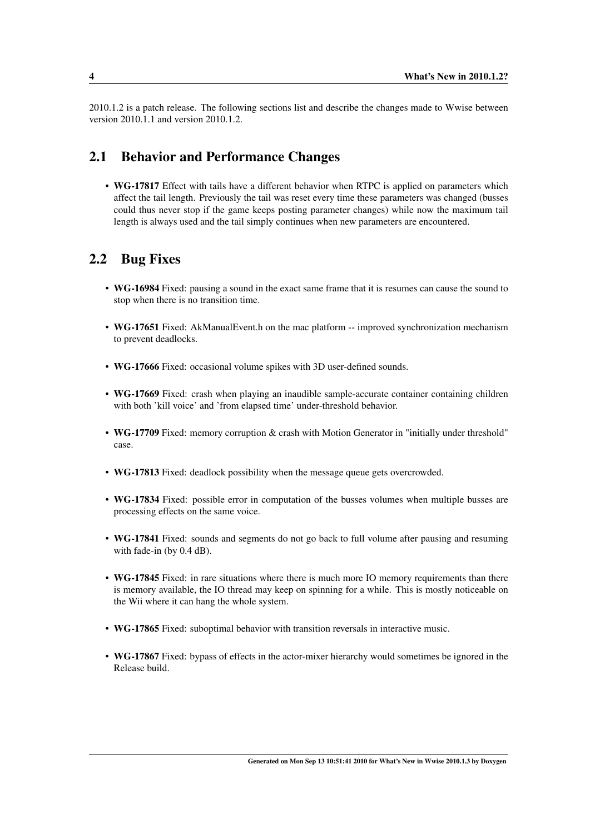2010.1.2 is a patch release. The following sections list and describe the changes made to Wwise between version 2010.1.1 and version 2010.1.2.

# <span id="page-7-0"></span>2.1 Behavior and Performance Changes

• WG-17817 Effect with tails have a different behavior when RTPC is applied on parameters which affect the tail length. Previously the tail was reset every time these parameters was changed (busses could thus never stop if the game keeps posting parameter changes) while now the maximum tail length is always used and the tail simply continues when new parameters are encountered.

# <span id="page-7-1"></span>2.2 Bug Fixes

- WG-16984 Fixed: pausing a sound in the exact same frame that it is resumes can cause the sound to stop when there is no transition time.
- WG-17651 Fixed: AkManualEvent.h on the mac platform -- improved synchronization mechanism to prevent deadlocks.
- WG-17666 Fixed: occasional volume spikes with 3D user-defined sounds.
- WG-17669 Fixed: crash when playing an inaudible sample-accurate container containing children with both 'kill voice' and 'from elapsed time' under-threshold behavior.
- WG-17709 Fixed: memory corruption & crash with Motion Generator in "initially under threshold" case.
- WG-17813 Fixed: deadlock possibility when the message queue gets overcrowded.
- WG-17834 Fixed: possible error in computation of the busses volumes when multiple busses are processing effects on the same voice.
- WG-17841 Fixed: sounds and segments do not go back to full volume after pausing and resuming with fade-in (by 0.4 dB).
- WG-17845 Fixed: in rare situations where there is much more IO memory requirements than there is memory available, the IO thread may keep on spinning for a while. This is mostly noticeable on the Wii where it can hang the whole system.
- WG-17865 Fixed: suboptimal behavior with transition reversals in interactive music.
- WG-17867 Fixed: bypass of effects in the actor-mixer hierarchy would sometimes be ignored in the Release build.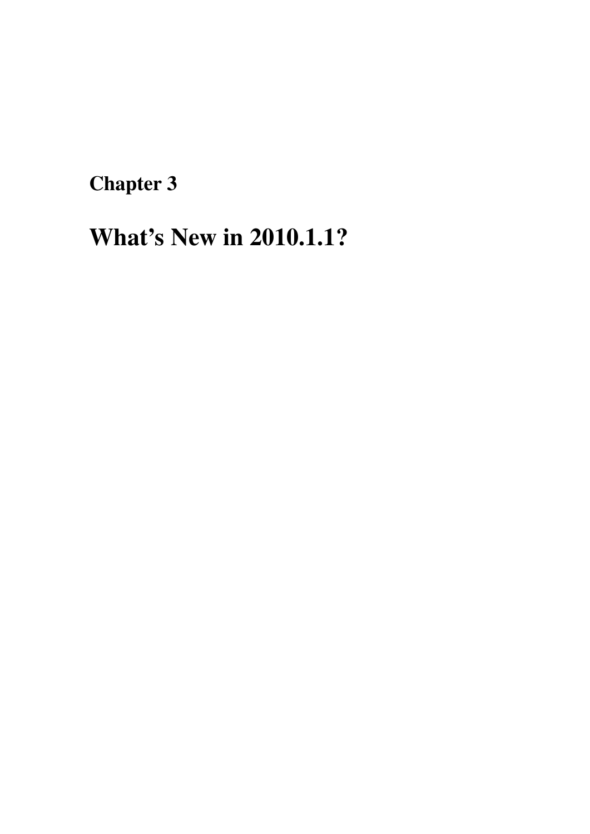<span id="page-8-0"></span>Chapter 3

# What's New in 2010.1.1?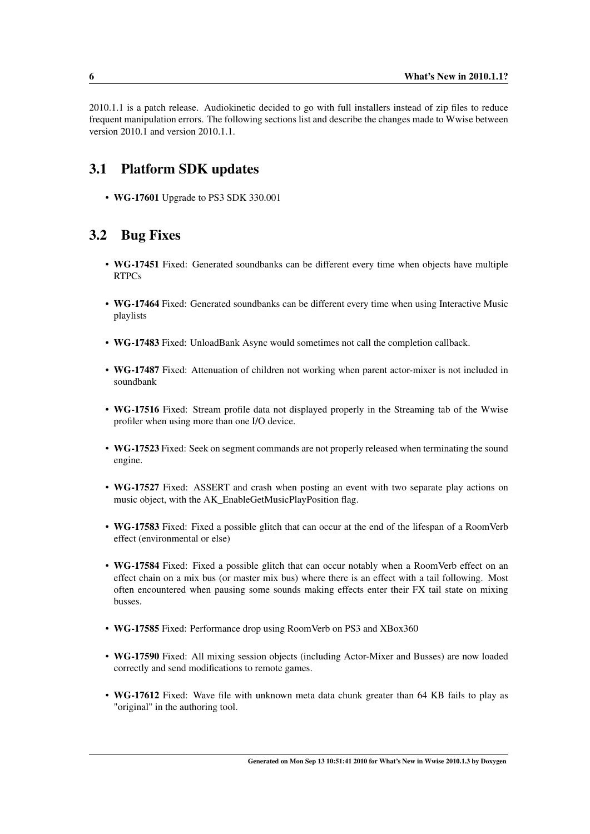2010.1.1 is a patch release. Audiokinetic decided to go with full installers instead of zip files to reduce frequent manipulation errors. The following sections list and describe the changes made to Wwise between version 2010.1 and version 2010.1.1.

# <span id="page-9-0"></span>3.1 Platform SDK updates

• WG-17601 Upgrade to PS3 SDK 330.001

# <span id="page-9-1"></span>3.2 Bug Fixes

- WG-17451 Fixed: Generated soundbanks can be different every time when objects have multiple RTPCs
- WG-17464 Fixed: Generated soundbanks can be different every time when using Interactive Music playlists
- WG-17483 Fixed: UnloadBank Async would sometimes not call the completion callback.
- WG-17487 Fixed: Attenuation of children not working when parent actor-mixer is not included in soundbank
- WG-17516 Fixed: Stream profile data not displayed properly in the Streaming tab of the Wwise profiler when using more than one I/O device.
- WG-17523 Fixed: Seek on segment commands are not properly released when terminating the sound engine.
- WG-17527 Fixed: ASSERT and crash when posting an event with two separate play actions on music object, with the AK\_EnableGetMusicPlayPosition flag.
- WG-17583 Fixed: Fixed a possible glitch that can occur at the end of the lifespan of a RoomVerb effect (environmental or else)
- WG-17584 Fixed: Fixed a possible glitch that can occur notably when a RoomVerb effect on an effect chain on a mix bus (or master mix bus) where there is an effect with a tail following. Most often encountered when pausing some sounds making effects enter their FX tail state on mixing busses.
- WG-17585 Fixed: Performance drop using RoomVerb on PS3 and XBox360
- WG-17590 Fixed: All mixing session objects (including Actor-Mixer and Busses) are now loaded correctly and send modifications to remote games.
- WG-17612 Fixed: Wave file with unknown meta data chunk greater than 64 KB fails to play as "original" in the authoring tool.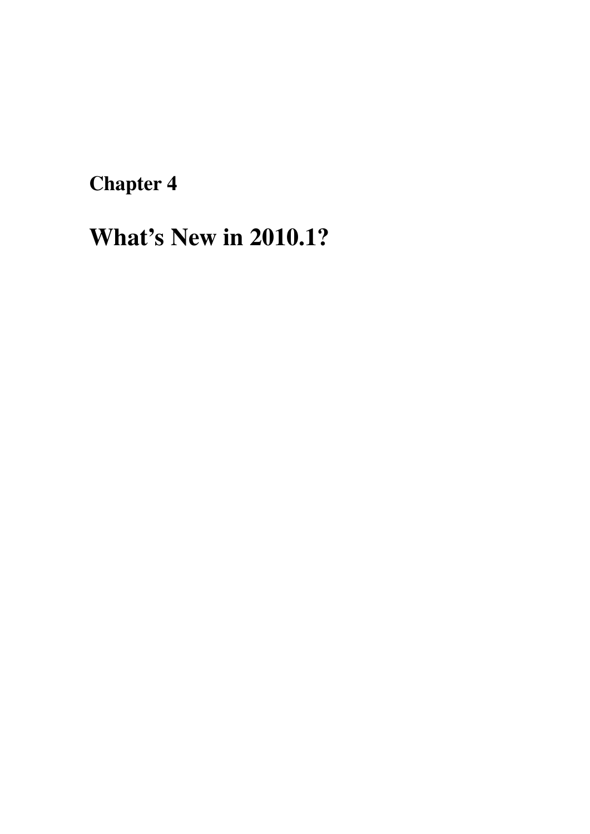<span id="page-10-0"></span>Chapter 4

# What's New in 2010.1?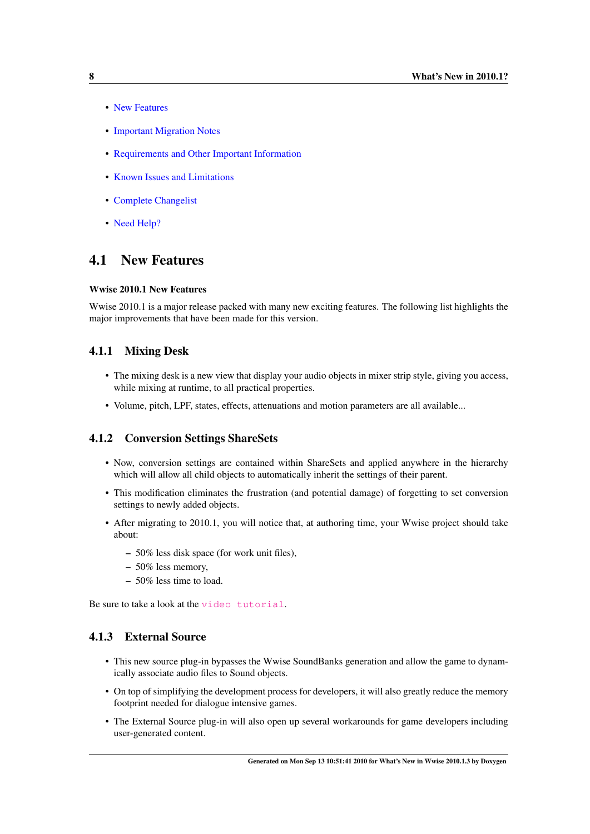- [New Features](#page-0-0)
- [Important Migration Notes](#page-0-0)
- [Requirements and Other Important Information](#page-0-0)
- [Known Issues and Limitations](#page-0-0)
- [Complete Changelist](#page-0-0)
- [Need Help?](#page-0-0)

# <span id="page-11-0"></span>4.1 New Features

#### Wwise 2010.1 New Features

Wwise 2010.1 is a major release packed with many new exciting features. The following list highlights the major improvements that have been made for this version.

#### <span id="page-11-1"></span>4.1.1 Mixing Desk

- The mixing desk is a new view that display your audio objects in mixer strip style, giving you access, while mixing at runtime, to all practical properties.
- Volume, pitch, LPF, states, effects, attenuations and motion parameters are all available...

#### <span id="page-11-2"></span>4.1.2 Conversion Settings ShareSets

- Now, conversion settings are contained within ShareSets and applied anywhere in the hierarchy which will allow all child objects to automatically inherit the settings of their parent.
- This modification eliminates the frustration (and potential damage) of forgetting to set conversion settings to newly added objects.
- After migrating to 2010.1, you will notice that, at authoring time, your Wwise project should take about:
	- 50% less disk space (for work unit files),
	- 50% less memory,
	- 50% less time to load.

Be sure to take a look at the [video tutorial](http://www.audiokinetic.com/video/video.php?target=tutorials/Wwise/21).

#### <span id="page-11-3"></span>4.1.3 External Source

- This new source plug-in bypasses the Wwise SoundBanks generation and allow the game to dynamically associate audio files to Sound objects.
- On top of simplifying the development process for developers, it will also greatly reduce the memory footprint needed for dialogue intensive games.
- The External Source plug-in will also open up several workarounds for game developers including user-generated content.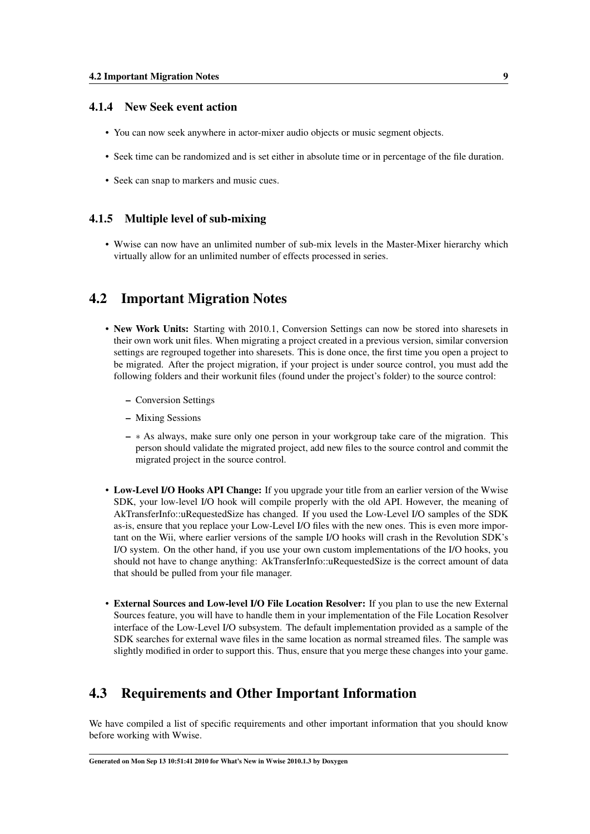#### <span id="page-12-0"></span>4.1.4 New Seek event action

- You can now seek anywhere in actor-mixer audio objects or music segment objects.
- Seek time can be randomized and is set either in absolute time or in percentage of the file duration.
- Seek can snap to markers and music cues.

#### <span id="page-12-1"></span>4.1.5 Multiple level of sub-mixing

• Wwise can now have an unlimited number of sub-mix levels in the Master-Mixer hierarchy which virtually allow for an unlimited number of effects processed in series.

### <span id="page-12-2"></span>4.2 Important Migration Notes

- New Work Units: Starting with 2010.1, Conversion Settings can now be stored into sharesets in their own work unit files. When migrating a project created in a previous version, similar conversion settings are regrouped together into sharesets. This is done once, the first time you open a project to be migrated. After the project migration, if your project is under source control, you must add the following folders and their workunit files (found under the project's folder) to the source control:
	- Conversion Settings
	- Mixing Sessions
	- ∗ As always, make sure only one person in your workgroup take care of the migration. This person should validate the migrated project, add new files to the source control and commit the migrated project in the source control.
- Low-Level I/O Hooks API Change: If you upgrade your title from an earlier version of the Wwise SDK, your low-level I/O hook will compile properly with the old API. However, the meaning of AkTransferInfo::uRequestedSize has changed. If you used the Low-Level I/O samples of the SDK as-is, ensure that you replace your Low-Level I/O files with the new ones. This is even more important on the Wii, where earlier versions of the sample I/O hooks will crash in the Revolution SDK's I/O system. On the other hand, if you use your own custom implementations of the I/O hooks, you should not have to change anything: AkTransferInfo::uRequestedSize is the correct amount of data that should be pulled from your file manager.
- External Sources and Low-level I/O File Location Resolver: If you plan to use the new External Sources feature, you will have to handle them in your implementation of the File Location Resolver interface of the Low-Level I/O subsystem. The default implementation provided as a sample of the SDK searches for external wave files in the same location as normal streamed files. The sample was slightly modified in order to support this. Thus, ensure that you merge these changes into your game.

# <span id="page-12-3"></span>4.3 Requirements and Other Important Information

We have compiled a list of specific requirements and other important information that you should know before working with Wwise.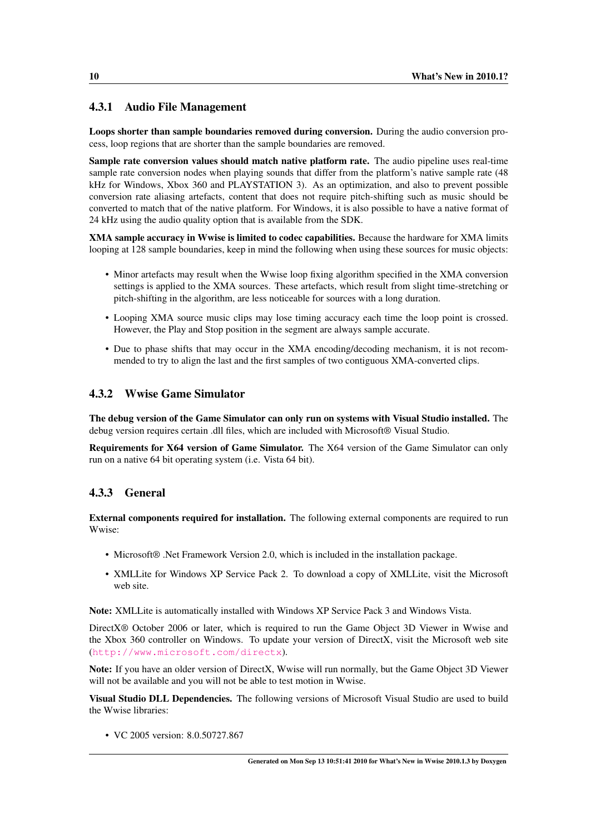#### <span id="page-13-0"></span>4.3.1 Audio File Management

Loops shorter than sample boundaries removed during conversion. During the audio conversion process, loop regions that are shorter than the sample boundaries are removed.

Sample rate conversion values should match native platform rate. The audio pipeline uses real-time sample rate conversion nodes when playing sounds that differ from the platform's native sample rate (48 kHz for Windows, Xbox 360 and PLAYSTATION 3). As an optimization, and also to prevent possible conversion rate aliasing artefacts, content that does not require pitch-shifting such as music should be converted to match that of the native platform. For Windows, it is also possible to have a native format of 24 kHz using the audio quality option that is available from the SDK.

XMA sample accuracy in Wwise is limited to codec capabilities. Because the hardware for XMA limits looping at 128 sample boundaries, keep in mind the following when using these sources for music objects:

- Minor artefacts may result when the Wwise loop fixing algorithm specified in the XMA conversion settings is applied to the XMA sources. These artefacts, which result from slight time-stretching or pitch-shifting in the algorithm, are less noticeable for sources with a long duration.
- Looping XMA source music clips may lose timing accuracy each time the loop point is crossed. However, the Play and Stop position in the segment are always sample accurate.
- Due to phase shifts that may occur in the XMA encoding/decoding mechanism, it is not recommended to try to align the last and the first samples of two contiguous XMA-converted clips.

#### <span id="page-13-1"></span>4.3.2 Wwise Game Simulator

The debug version of the Game Simulator can only run on systems with Visual Studio installed. The debug version requires certain .dll files, which are included with Microsoft® Visual Studio.

Requirements for X64 version of Game Simulator. The X64 version of the Game Simulator can only run on a native 64 bit operating system (i.e. Vista 64 bit).

#### <span id="page-13-2"></span>4.3.3 General

External components required for installation. The following external components are required to run Wwise:

- Microsoft® .Net Framework Version 2.0, which is included in the installation package.
- XMLLite for Windows XP Service Pack 2. To download a copy of XMLLite, visit the Microsoft web site.

Note: XMLLite is automatically installed with Windows XP Service Pack 3 and Windows Vista.

DirectX® October 2006 or later, which is required to run the Game Object 3D Viewer in Wwise and the Xbox 360 controller on Windows. To update your version of DirectX, visit the Microsoft web site (<http://www.microsoft.com/directx>).

Note: If you have an older version of DirectX, Wwise will run normally, but the Game Object 3D Viewer will not be available and you will not be able to test motion in Wwise.

Visual Studio DLL Dependencies. The following versions of Microsoft Visual Studio are used to build the Wwise libraries:

• VC 2005 version: 8.0.50727.867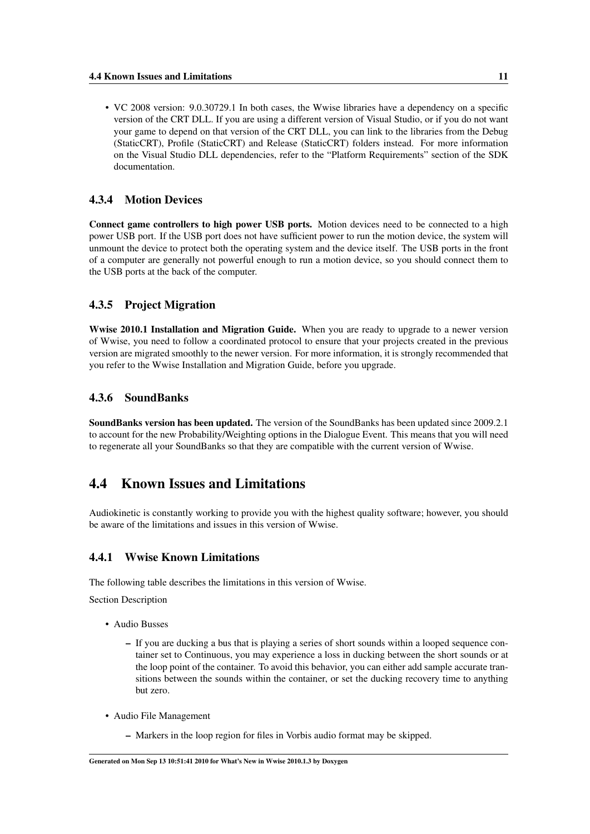• VC 2008 version: 9.0.30729.1 In both cases, the Wwise libraries have a dependency on a specific version of the CRT DLL. If you are using a different version of Visual Studio, or if you do not want your game to depend on that version of the CRT DLL, you can link to the libraries from the Debug (StaticCRT), Profile (StaticCRT) and Release (StaticCRT) folders instead. For more information on the Visual Studio DLL dependencies, refer to the "Platform Requirements" section of the SDK documentation.

#### <span id="page-14-0"></span>4.3.4 Motion Devices

Connect game controllers to high power USB ports. Motion devices need to be connected to a high power USB port. If the USB port does not have sufficient power to run the motion device, the system will unmount the device to protect both the operating system and the device itself. The USB ports in the front of a computer are generally not powerful enough to run a motion device, so you should connect them to the USB ports at the back of the computer.

#### <span id="page-14-1"></span>4.3.5 Project Migration

Wwise 2010.1 Installation and Migration Guide. When you are ready to upgrade to a newer version of Wwise, you need to follow a coordinated protocol to ensure that your projects created in the previous version are migrated smoothly to the newer version. For more information, it is strongly recommended that you refer to the Wwise Installation and Migration Guide, before you upgrade.

#### <span id="page-14-2"></span>4.3.6 SoundBanks

SoundBanks version has been updated. The version of the SoundBanks has been updated since 2009.2.1 to account for the new Probability/Weighting options in the Dialogue Event. This means that you will need to regenerate all your SoundBanks so that they are compatible with the current version of Wwise.

# <span id="page-14-3"></span>4.4 Known Issues and Limitations

Audiokinetic is constantly working to provide you with the highest quality software; however, you should be aware of the limitations and issues in this version of Wwise.

#### <span id="page-14-4"></span>4.4.1 Wwise Known Limitations

The following table describes the limitations in this version of Wwise.

Section Description

- Audio Busses
	- If you are ducking a bus that is playing a series of short sounds within a looped sequence container set to Continuous, you may experience a loss in ducking between the short sounds or at the loop point of the container. To avoid this behavior, you can either add sample accurate transitions between the sounds within the container, or set the ducking recovery time to anything but zero.
- Audio File Management
	- Markers in the loop region for files in Vorbis audio format may be skipped.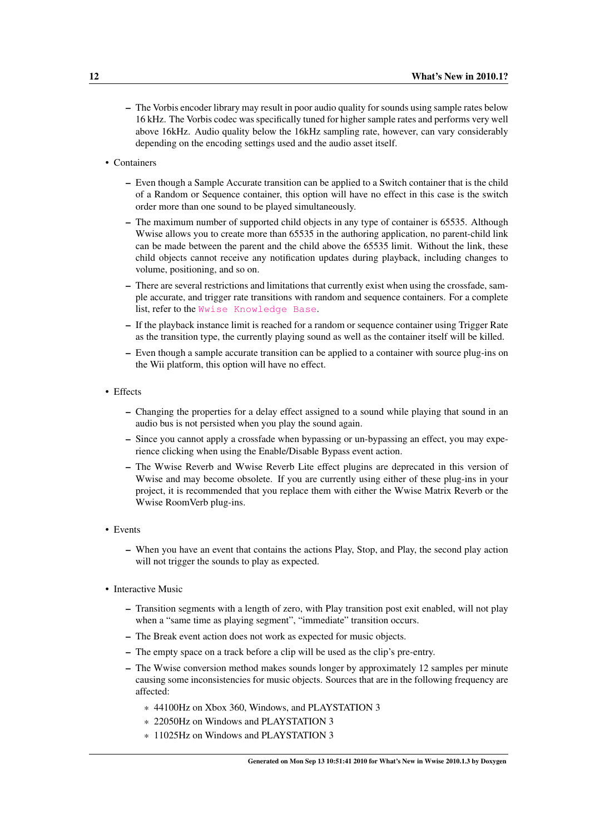- The Vorbis encoder library may result in poor audio quality for sounds using sample rates below 16 kHz. The Vorbis codec was specifically tuned for higher sample rates and performs very well above 16kHz. Audio quality below the 16kHz sampling rate, however, can vary considerably depending on the encoding settings used and the audio asset itself.
- Containers
	- Even though a Sample Accurate transition can be applied to a Switch container that is the child of a Random or Sequence container, this option will have no effect in this case is the switch order more than one sound to be played simultaneously.
	- The maximum number of supported child objects in any type of container is 65535. Although Wwise allows you to create more than 65535 in the authoring application, no parent-child link can be made between the parent and the child above the 65535 limit. Without the link, these child objects cannot receive any notification updates during playback, including changes to volume, positioning, and so on.
	- There are several restrictions and limitations that currently exist when using the crossfade, sample accurate, and trigger rate transitions with random and sequence containers. For a complete list, refer to the [Wwise Knowledge Base](http://kb.gowwise.com/).
	- If the playback instance limit is reached for a random or sequence container using Trigger Rate as the transition type, the currently playing sound as well as the container itself will be killed.
	- Even though a sample accurate transition can be applied to a container with source plug-ins on the Wii platform, this option will have no effect.
- Effects
	- Changing the properties for a delay effect assigned to a sound while playing that sound in an audio bus is not persisted when you play the sound again.
	- Since you cannot apply a crossfade when bypassing or un-bypassing an effect, you may experience clicking when using the Enable/Disable Bypass event action.
	- The Wwise Reverb and Wwise Reverb Lite effect plugins are deprecated in this version of Wwise and may become obsolete. If you are currently using either of these plug-ins in your project, it is recommended that you replace them with either the Wwise Matrix Reverb or the Wwise RoomVerb plug-ins.
- Events
	- When you have an event that contains the actions Play, Stop, and Play, the second play action will not trigger the sounds to play as expected.
- Interactive Music
	- Transition segments with a length of zero, with Play transition post exit enabled, will not play when a "same time as playing segment", "immediate" transition occurs.
	- The Break event action does not work as expected for music objects.
	- The empty space on a track before a clip will be used as the clip's pre-entry.
	- The Wwise conversion method makes sounds longer by approximately 12 samples per minute causing some inconsistencies for music objects. Sources that are in the following frequency are affected:
		- \* 44100Hz on Xbox 360, Windows, and PLAYSTATION 3
		- \* 22050Hz on Windows and PLAYSTATION 3
		- \* 11025Hz on Windows and PLAYSTATION 3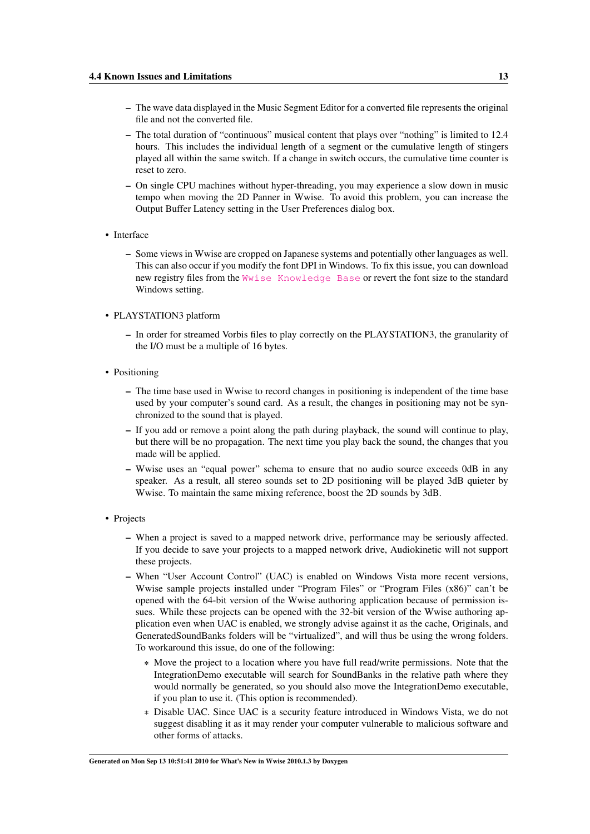- The wave data displayed in the Music Segment Editor for a converted file represents the original file and not the converted file.
- The total duration of "continuous" musical content that plays over "nothing" is limited to 12.4 hours. This includes the individual length of a segment or the cumulative length of stingers played all within the same switch. If a change in switch occurs, the cumulative time counter is reset to zero.
- On single CPU machines without hyper-threading, you may experience a slow down in music tempo when moving the 2D Panner in Wwise. To avoid this problem, you can increase the Output Buffer Latency setting in the User Preferences dialog box.
- Interface
	- Some views in Wwise are cropped on Japanese systems and potentially other languages as well. This can also occur if you modify the font DPI in Windows. To fix this issue, you can download new registry files from the [Wwise Knowledge Base](http://kb.gowwise.com/) or revert the font size to the standard Windows setting.
- PLAYSTATION3 platform
	- In order for streamed Vorbis files to play correctly on the PLAYSTATION3, the granularity of the I/O must be a multiple of 16 bytes.
- Positioning
	- The time base used in Wwise to record changes in positioning is independent of the time base used by your computer's sound card. As a result, the changes in positioning may not be synchronized to the sound that is played.
	- If you add or remove a point along the path during playback, the sound will continue to play, but there will be no propagation. The next time you play back the sound, the changes that you made will be applied.
	- Wwise uses an "equal power" schema to ensure that no audio source exceeds 0dB in any speaker. As a result, all stereo sounds set to 2D positioning will be played 3dB quieter by Wwise. To maintain the same mixing reference, boost the 2D sounds by 3dB.
- Projects
	- When a project is saved to a mapped network drive, performance may be seriously affected. If you decide to save your projects to a mapped network drive, Audiokinetic will not support these projects.
	- When "User Account Control" (UAC) is enabled on Windows Vista more recent versions, Wwise sample projects installed under "Program Files" or "Program Files (x86)" can't be opened with the 64-bit version of the Wwise authoring application because of permission issues. While these projects can be opened with the 32-bit version of the Wwise authoring application even when UAC is enabled, we strongly advise against it as the cache, Originals, and GeneratedSoundBanks folders will be "virtualized", and will thus be using the wrong folders. To workaround this issue, do one of the following:
		- \* Move the project to a location where you have full read/write permissions. Note that the IntegrationDemo executable will search for SoundBanks in the relative path where they would normally be generated, so you should also move the IntegrationDemo executable, if you plan to use it. (This option is recommended).
		- \* Disable UAC. Since UAC is a security feature introduced in Windows Vista, we do not suggest disabling it as it may render your computer vulnerable to malicious software and other forms of attacks.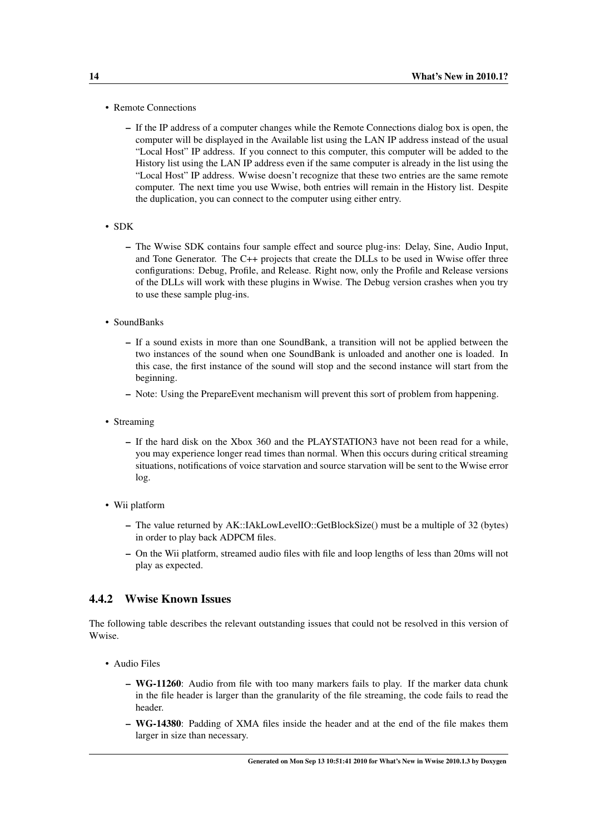- Remote Connections
	- If the IP address of a computer changes while the Remote Connections dialog box is open, the computer will be displayed in the Available list using the LAN IP address instead of the usual "Local Host" IP address. If you connect to this computer, this computer will be added to the History list using the LAN IP address even if the same computer is already in the list using the "Local Host" IP address. Wwise doesn't recognize that these two entries are the same remote computer. The next time you use Wwise, both entries will remain in the History list. Despite the duplication, you can connect to the computer using either entry.
- SDK
	- The Wwise SDK contains four sample effect and source plug-ins: Delay, Sine, Audio Input, and Tone Generator. The C++ projects that create the DLLs to be used in Wwise offer three configurations: Debug, Profile, and Release. Right now, only the Profile and Release versions of the DLLs will work with these plugins in Wwise. The Debug version crashes when you try to use these sample plug-ins.
- SoundBanks
	- If a sound exists in more than one SoundBank, a transition will not be applied between the two instances of the sound when one SoundBank is unloaded and another one is loaded. In this case, the first instance of the sound will stop and the second instance will start from the beginning.
	- Note: Using the PrepareEvent mechanism will prevent this sort of problem from happening.
- Streaming
	- If the hard disk on the Xbox 360 and the PLAYSTATION3 have not been read for a while, you may experience longer read times than normal. When this occurs during critical streaming situations, notifications of voice starvation and source starvation will be sent to the Wwise error log.
- Wii platform
	- The value returned by AK::IAkLowLevelIO::GetBlockSize() must be a multiple of 32 (bytes) in order to play back ADPCM files.
	- On the Wii platform, streamed audio files with file and loop lengths of less than 20ms will not play as expected.

#### <span id="page-17-0"></span>4.4.2 Wwise Known Issues

The following table describes the relevant outstanding issues that could not be resolved in this version of Wwise.

- Audio Files
	- WG-11260: Audio from file with too many markers fails to play. If the marker data chunk in the file header is larger than the granularity of the file streaming, the code fails to read the header.
	- WG-14380: Padding of XMA files inside the header and at the end of the file makes them larger in size than necessary.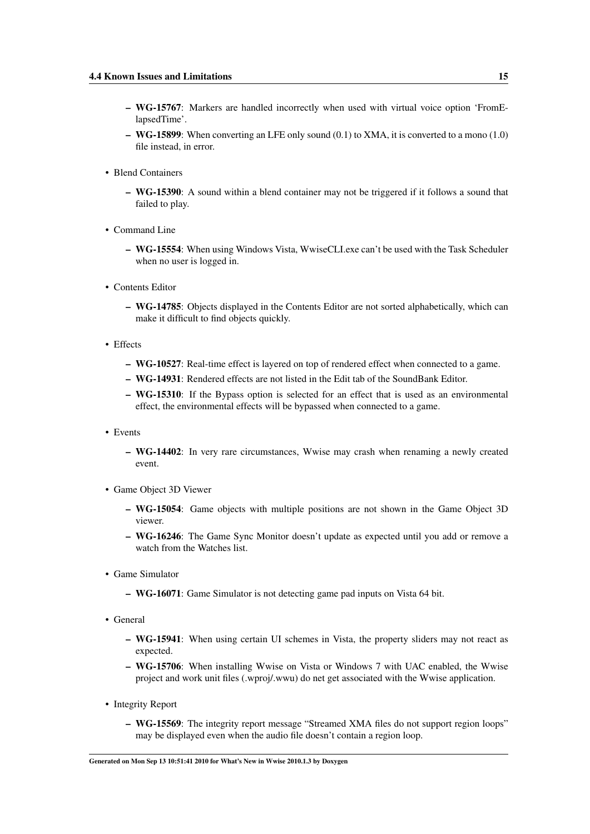- WG-15767: Markers are handled incorrectly when used with virtual voice option 'FromElapsedTime'.
- WG-15899: When converting an LFE only sound (0.1) to XMA, it is converted to a mono (1.0) file instead, in error.
- Blend Containers
	- WG-15390: A sound within a blend container may not be triggered if it follows a sound that failed to play.
- Command Line
	- WG-15554: When using Windows Vista, WwiseCLI.exe can't be used with the Task Scheduler when no user is logged in.
- Contents Editor
	- WG-14785: Objects displayed in the Contents Editor are not sorted alphabetically, which can make it difficult to find objects quickly.
- Effects
	- WG-10527: Real-time effect is layered on top of rendered effect when connected to a game.
	- WG-14931: Rendered effects are not listed in the Edit tab of the SoundBank Editor.
	- WG-15310: If the Bypass option is selected for an effect that is used as an environmental effect, the environmental effects will be bypassed when connected to a game.
- Events
	- WG-14402: In very rare circumstances, Wwise may crash when renaming a newly created event.
- Game Object 3D Viewer
	- WG-15054: Game objects with multiple positions are not shown in the Game Object 3D viewer.
	- WG-16246: The Game Sync Monitor doesn't update as expected until you add or remove a watch from the Watches list.
- Game Simulator
	- WG-16071: Game Simulator is not detecting game pad inputs on Vista 64 bit.
- General
	- WG-15941: When using certain UI schemes in Vista, the property sliders may not react as expected.
	- WG-15706: When installing Wwise on Vista or Windows 7 with UAC enabled, the Wwise project and work unit files (.wproj/.wwu) do net get associated with the Wwise application.
- Integrity Report
	- WG-15569: The integrity report message "Streamed XMA files do not support region loops" may be displayed even when the audio file doesn't contain a region loop.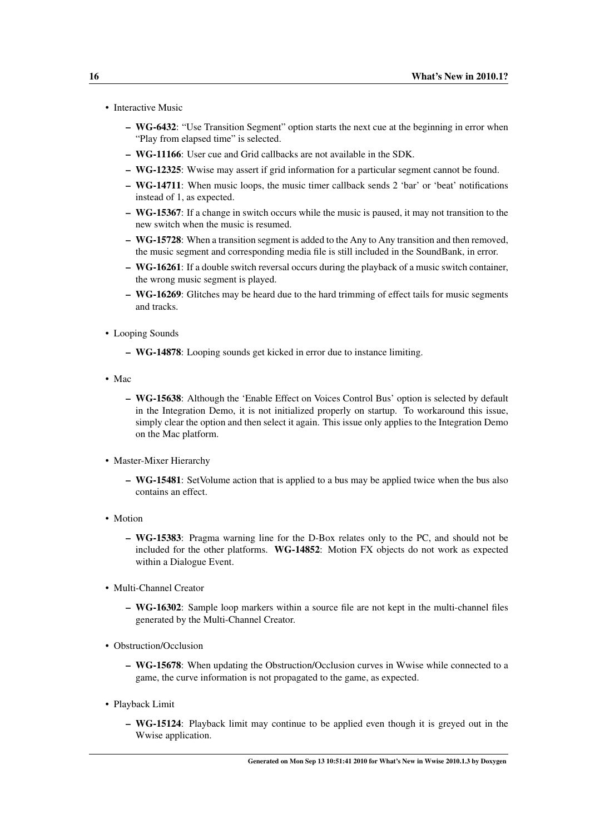- Interactive Music
	- WG-6432: "Use Transition Segment" option starts the next cue at the beginning in error when "Play from elapsed time" is selected.
	- WG-11166: User cue and Grid callbacks are not available in the SDK.
	- WG-12325: Wwise may assert if grid information for a particular segment cannot be found.
	- WG-14711: When music loops, the music timer callback sends 2 'bar' or 'beat' notifications instead of 1, as expected.
	- WG-15367: If a change in switch occurs while the music is paused, it may not transition to the new switch when the music is resumed.
	- WG-15728: When a transition segment is added to the Any to Any transition and then removed, the music segment and corresponding media file is still included in the SoundBank, in error.
	- WG-16261: If a double switch reversal occurs during the playback of a music switch container, the wrong music segment is played.
	- WG-16269: Glitches may be heard due to the hard trimming of effect tails for music segments and tracks.
- Looping Sounds
	- WG-14878: Looping sounds get kicked in error due to instance limiting.
- Mac
	- WG-15638: Although the 'Enable Effect on Voices Control Bus' option is selected by default in the Integration Demo, it is not initialized properly on startup. To workaround this issue, simply clear the option and then select it again. This issue only applies to the Integration Demo on the Mac platform.
- Master-Mixer Hierarchy
	- WG-15481: SetVolume action that is applied to a bus may be applied twice when the bus also contains an effect.
- Motion
	- WG-15383: Pragma warning line for the D-Box relates only to the PC, and should not be included for the other platforms. WG-14852: Motion FX objects do not work as expected within a Dialogue Event.
- Multi-Channel Creator
	- WG-16302: Sample loop markers within a source file are not kept in the multi-channel files generated by the Multi-Channel Creator.
- Obstruction/Occlusion
	- WG-15678: When updating the Obstruction/Occlusion curves in Wwise while connected to a game, the curve information is not propagated to the game, as expected.
- Playback Limit
	- WG-15124: Playback limit may continue to be applied even though it is greyed out in the Wwise application.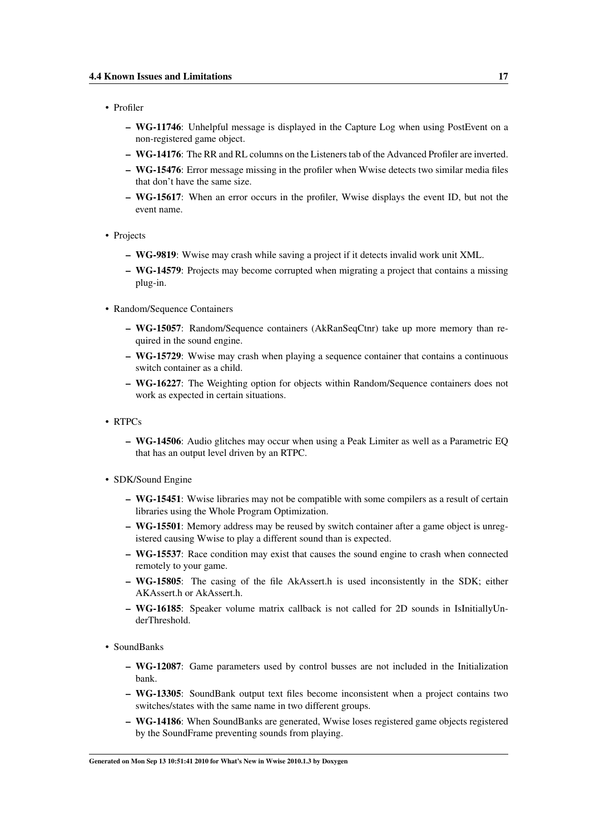- Profiler
	- WG-11746: Unhelpful message is displayed in the Capture Log when using PostEvent on a non-registered game object.
	- WG-14176: The RR and RL columns on the Listeners tab of the Advanced Profiler are inverted.
	- WG-15476: Error message missing in the profiler when Wwise detects two similar media files that don't have the same size.
	- WG-15617: When an error occurs in the profiler, Wwise displays the event ID, but not the event name.
- Projects
	- WG-9819: Wwise may crash while saving a project if it detects invalid work unit XML.
	- WG-14579: Projects may become corrupted when migrating a project that contains a missing plug-in.
- Random/Sequence Containers
	- WG-15057: Random/Sequence containers (AkRanSeqCtnr) take up more memory than required in the sound engine.
	- WG-15729: Wwise may crash when playing a sequence container that contains a continuous switch container as a child.
	- WG-16227: The Weighting option for objects within Random/Sequence containers does not work as expected in certain situations.
- RTPCs
	- WG-14506: Audio glitches may occur when using a Peak Limiter as well as a Parametric EQ that has an output level driven by an RTPC.
- SDK/Sound Engine
	- WG-15451: Wwise libraries may not be compatible with some compilers as a result of certain libraries using the Whole Program Optimization.
	- WG-15501: Memory address may be reused by switch container after a game object is unregistered causing Wwise to play a different sound than is expected.
	- WG-15537: Race condition may exist that causes the sound engine to crash when connected remotely to your game.
	- WG-15805: The casing of the file AkAssert.h is used inconsistently in the SDK; either AKAssert.h or AkAssert.h.
	- WG-16185: Speaker volume matrix callback is not called for 2D sounds in IsInitiallyUnderThreshold.
- SoundBanks
	- WG-12087: Game parameters used by control busses are not included in the Initialization bank.
	- WG-13305: SoundBank output text files become inconsistent when a project contains two switches/states with the same name in two different groups.
	- WG-14186: When SoundBanks are generated, Wwise loses registered game objects registered by the SoundFrame preventing sounds from playing.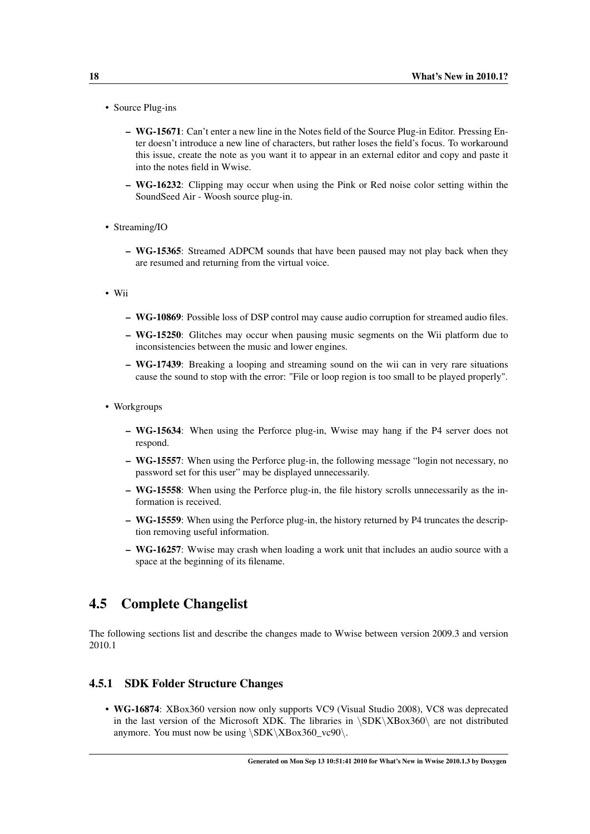- Source Plug-ins
	- WG-15671: Can't enter a new line in the Notes field of the Source Plug-in Editor. Pressing Enter doesn't introduce a new line of characters, but rather loses the field's focus. To workaround this issue, create the note as you want it to appear in an external editor and copy and paste it into the notes field in Wwise.
	- WG-16232: Clipping may occur when using the Pink or Red noise color setting within the SoundSeed Air - Woosh source plug-in.
- Streaming/IO
	- WG-15365: Streamed ADPCM sounds that have been paused may not play back when they are resumed and returning from the virtual voice.
- Wii
	- WG-10869: Possible loss of DSP control may cause audio corruption for streamed audio files.
	- WG-15250: Glitches may occur when pausing music segments on the Wii platform due to inconsistencies between the music and lower engines.
	- WG-17439: Breaking a looping and streaming sound on the wii can in very rare situations cause the sound to stop with the error: "File or loop region is too small to be played properly".
- Workgroups
	- WG-15634: When using the Perforce plug-in, Wwise may hang if the P4 server does not respond.
	- WG-15557: When using the Perforce plug-in, the following message "login not necessary, no password set for this user" may be displayed unnecessarily.
	- WG-15558: When using the Perforce plug-in, the file history scrolls unnecessarily as the information is received.
	- WG-15559: When using the Perforce plug-in, the history returned by P4 truncates the description removing useful information.
	- WG-16257: Wwise may crash when loading a work unit that includes an audio source with a space at the beginning of its filename.

#### <span id="page-21-0"></span>4.5 Complete Changelist

The following sections list and describe the changes made to Wwise between version 2009.3 and version 2010.1

#### <span id="page-21-1"></span>4.5.1 SDK Folder Structure Changes

• WG-16874: XBox360 version now only supports VC9 (Visual Studio 2008), VC8 was deprecated in the last version of the Microsoft XDK. The libraries in \SDK\XBox360\ are not distributed anymore. You must now be using  $\SBK\XBox360$ <sub>vc90</sub>.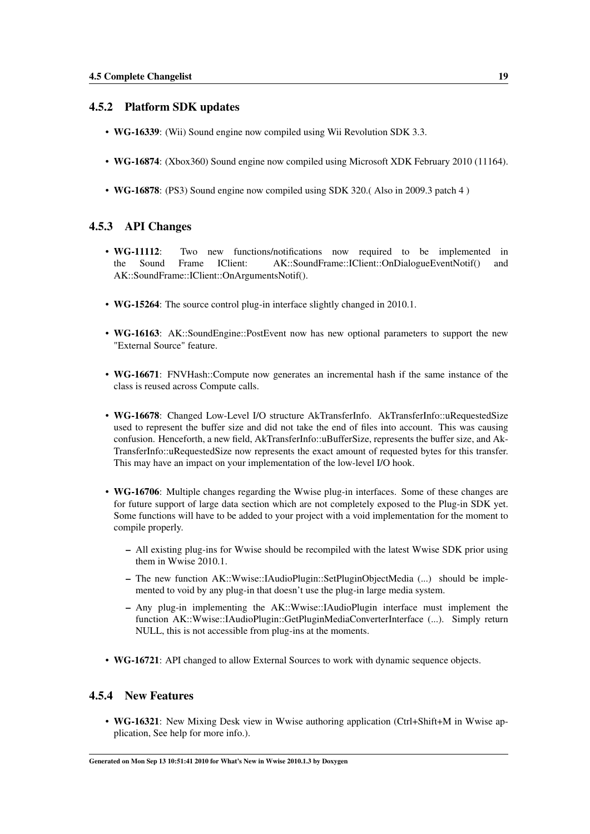#### <span id="page-22-0"></span>4.5.2 Platform SDK updates

- WG-16339: (Wii) Sound engine now compiled using Wii Revolution SDK 3.3.
- WG-16874: (Xbox360) Sound engine now compiled using Microsoft XDK February 2010 (11164).
- WG-16878: (PS3) Sound engine now compiled using SDK 320.( Also in 2009.3 patch 4 )

#### <span id="page-22-1"></span>4.5.3 API Changes

- WG-11112: Two new functions/notifications now required to be implemented in the Sound Frame IClient: AK::SoundFrame::IClient::OnDialogueEventNotif() and AK::SoundFrame::IClient::OnArgumentsNotif().
- WG-15264: The source control plug-in interface slightly changed in 2010.1.
- WG-16163: AK::SoundEngine::PostEvent now has new optional parameters to support the new "External Source" feature.
- WG-16671: FNVHash::Compute now generates an incremental hash if the same instance of the class is reused across Compute calls.
- WG-16678: Changed Low-Level I/O structure AkTransferInfo. AkTransferInfo::uRequestedSize used to represent the buffer size and did not take the end of files into account. This was causing confusion. Henceforth, a new field, AkTransferInfo::uBufferSize, represents the buffer size, and Ak-TransferInfo::uRequestedSize now represents the exact amount of requested bytes for this transfer. This may have an impact on your implementation of the low-level I/O hook.
- WG-16706: Multiple changes regarding the Wwise plug-in interfaces. Some of these changes are for future support of large data section which are not completely exposed to the Plug-in SDK yet. Some functions will have to be added to your project with a void implementation for the moment to compile properly.
	- All existing plug-ins for Wwise should be recompiled with the latest Wwise SDK prior using them in Wwise 2010.1.
	- The new function AK::Wwise::IAudioPlugin::SetPluginObjectMedia (...) should be implemented to void by any plug-in that doesn't use the plug-in large media system.
	- Any plug-in implementing the AK::Wwise::IAudioPlugin interface must implement the function AK::Wwise::IAudioPlugin::GetPluginMediaConverterInterface (...). Simply return NULL, this is not accessible from plug-ins at the moments.
- WG-16721: API changed to allow External Sources to work with dynamic sequence objects.

#### <span id="page-22-2"></span>4.5.4 New Features

• WG-16321: New Mixing Desk view in Wwise authoring application (Ctrl+Shift+M in Wwise application, See help for more info.).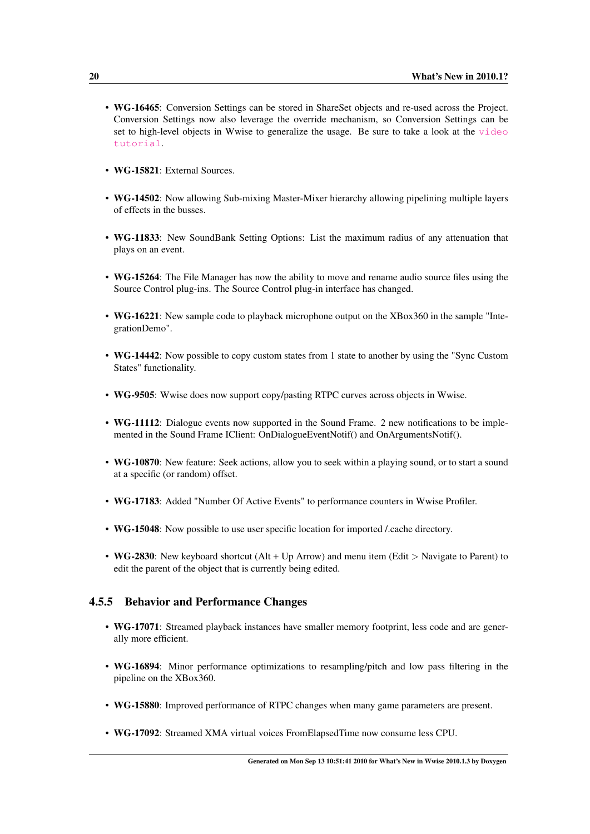- WG-16465: Conversion Settings can be stored in ShareSet objects and re-used across the Project. Conversion Settings now also leverage the override mechanism, so Conversion Settings can be set to high-level objects in Wwise to generalize the usage. Be sure to take a look at the [video](http://www.audiokinetic.com/video/video.php?target=tutorials/Wwise/21) [tutorial](http://www.audiokinetic.com/video/video.php?target=tutorials/Wwise/21).
- WG-15821: External Sources
- WG-14502: Now allowing Sub-mixing Master-Mixer hierarchy allowing pipelining multiple layers of effects in the busses.
- WG-11833: New SoundBank Setting Options: List the maximum radius of any attenuation that plays on an event.
- WG-15264: The File Manager has now the ability to move and rename audio source files using the Source Control plug-ins. The Source Control plug-in interface has changed.
- WG-16221: New sample code to playback microphone output on the XBox360 in the sample "IntegrationDemo".
- WG-14442: Now possible to copy custom states from 1 state to another by using the "Sync Custom States" functionality.
- WG-9505: Wwise does now support copy/pasting RTPC curves across objects in Wwise.
- WG-11112: Dialogue events now supported in the Sound Frame. 2 new notifications to be implemented in the Sound Frame IClient: OnDialogueEventNotif() and OnArgumentsNotif().
- WG-10870: New feature: Seek actions, allow you to seek within a playing sound, or to start a sound at a specific (or random) offset.
- WG-17183: Added "Number Of Active Events" to performance counters in Wwise Profiler.
- WG-15048: Now possible to use user specific location for imported /.cache directory.
- WG-2830: New keyboard shortcut (Alt + Up Arrow) and menu item (Edit > Navigate to Parent) to edit the parent of the object that is currently being edited.

#### <span id="page-23-0"></span>4.5.5 Behavior and Performance Changes

- WG-17071: Streamed playback instances have smaller memory footprint, less code and are generally more efficient.
- WG-16894: Minor performance optimizations to resampling/pitch and low pass filtering in the pipeline on the XBox360.
- WG-15880: Improved performance of RTPC changes when many game parameters are present.
- WG-17092: Streamed XMA virtual voices FromElapsedTime now consume less CPU.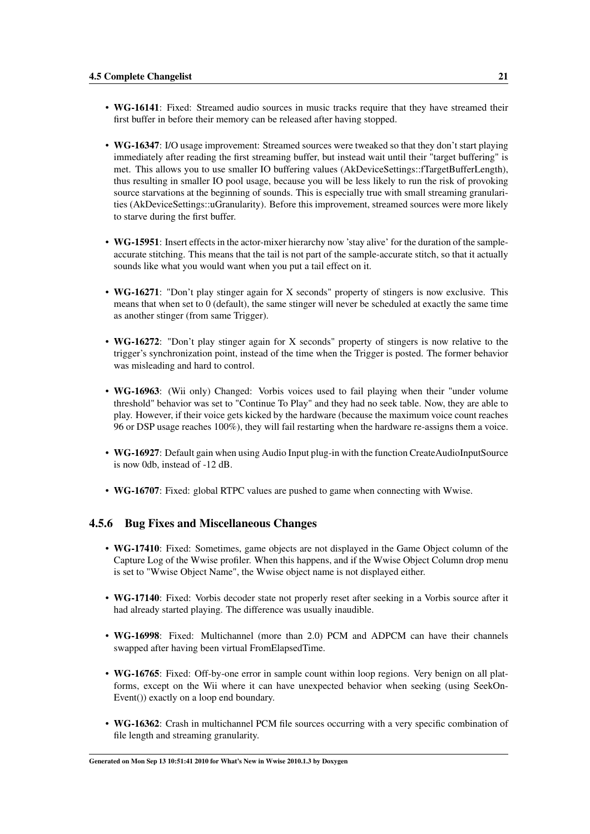- WG-16141: Fixed: Streamed audio sources in music tracks require that they have streamed their first buffer in before their memory can be released after having stopped.
- WG-16347: I/O usage improvement: Streamed sources were tweaked so that they don't start playing immediately after reading the first streaming buffer, but instead wait until their "target buffering" is met. This allows you to use smaller IO buffering values (AkDeviceSettings::fTargetBufferLength), thus resulting in smaller IO pool usage, because you will be less likely to run the risk of provoking source starvations at the beginning of sounds. This is especially true with small streaming granularities (AkDeviceSettings::uGranularity). Before this improvement, streamed sources were more likely to starve during the first buffer.
- WG-15951: Insert effects in the actor-mixer hierarchy now 'stay alive' for the duration of the sampleaccurate stitching. This means that the tail is not part of the sample-accurate stitch, so that it actually sounds like what you would want when you put a tail effect on it.
- WG-16271: "Don't play stinger again for X seconds" property of stingers is now exclusive. This means that when set to 0 (default), the same stinger will never be scheduled at exactly the same time as another stinger (from same Trigger).
- WG-16272: "Don't play stinger again for X seconds" property of stingers is now relative to the trigger's synchronization point, instead of the time when the Trigger is posted. The former behavior was misleading and hard to control.
- WG-16963: (Wii only) Changed: Vorbis voices used to fail playing when their "under volume" threshold" behavior was set to "Continue To Play" and they had no seek table. Now, they are able to play. However, if their voice gets kicked by the hardware (because the maximum voice count reaches 96 or DSP usage reaches 100%), they will fail restarting when the hardware re-assigns them a voice.
- WG-16927: Default gain when using Audio Input plug-in with the function CreateAudioInputSource is now 0db, instead of -12 dB.
- WG-16707: Fixed: global RTPC values are pushed to game when connecting with Wwise.

#### <span id="page-24-0"></span>4.5.6 Bug Fixes and Miscellaneous Changes

- WG-17410: Fixed: Sometimes, game objects are not displayed in the Game Object column of the Capture Log of the Wwise profiler. When this happens, and if the Wwise Object Column drop menu is set to "Wwise Object Name", the Wwise object name is not displayed either.
- WG-17140: Fixed: Vorbis decoder state not properly reset after seeking in a Vorbis source after it had already started playing. The difference was usually inaudible.
- WG-16998: Fixed: Multichannel (more than 2.0) PCM and ADPCM can have their channels swapped after having been virtual FromElapsedTime.
- WG-16765: Fixed: Off-by-one error in sample count within loop regions. Very benign on all platforms, except on the Wii where it can have unexpected behavior when seeking (using SeekOn-Event()) exactly on a loop end boundary.
- WG-16362: Crash in multichannel PCM file sources occurring with a very specific combination of file length and streaming granularity.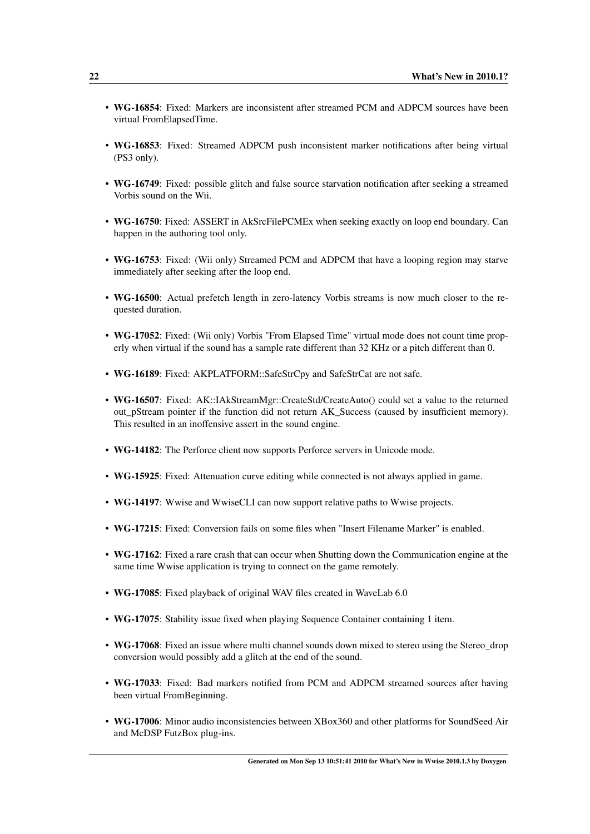- WG-16854: Fixed: Markers are inconsistent after streamed PCM and ADPCM sources have been virtual FromElapsedTime.
- WG-16853: Fixed: Streamed ADPCM push inconsistent marker notifications after being virtual (PS3 only).
- WG-16749: Fixed: possible glitch and false source starvation notification after seeking a streamed Vorbis sound on the Wii.
- WG-16750: Fixed: ASSERT in AkSrcFilePCMEx when seeking exactly on loop end boundary. Can happen in the authoring tool only.
- WG-16753: Fixed: (Wii only) Streamed PCM and ADPCM that have a looping region may starve immediately after seeking after the loop end.
- WG-16500: Actual prefetch length in zero-latency Vorbis streams is now much closer to the requested duration.
- WG-17052: Fixed: (Wii only) Vorbis "From Elapsed Time" virtual mode does not count time properly when virtual if the sound has a sample rate different than 32 KHz or a pitch different than 0.
- WG-16189: Fixed: AKPLATFORM::SafeStrCpy and SafeStrCat are not safe.
- WG-16507: Fixed: AK::IAkStreamMgr::CreateStd/CreateAuto() could set a value to the returned out\_pStream pointer if the function did not return AK\_Success (caused by insufficient memory). This resulted in an inoffensive assert in the sound engine.
- WG-14182: The Perforce client now supports Perforce servers in Unicode mode.
- WG-15925: Fixed: Attenuation curve editing while connected is not always applied in game.
- WG-14197: Wwise and WwiseCLI can now support relative paths to Wwise projects.
- WG-17215: Fixed: Conversion fails on some files when "Insert Filename Marker" is enabled.
- WG-17162: Fixed a rare crash that can occur when Shutting down the Communication engine at the same time Wwise application is trying to connect on the game remotely.
- WG-17085: Fixed playback of original WAV files created in WaveLab 6.0
- WG-17075: Stability issue fixed when playing Sequence Container containing 1 item.
- WG-17068: Fixed an issue where multi channel sounds down mixed to stereo using the Stereo\_drop conversion would possibly add a glitch at the end of the sound.
- WG-17033: Fixed: Bad markers notified from PCM and ADPCM streamed sources after having been virtual FromBeginning.
- WG-17006: Minor audio inconsistencies between XBox360 and other platforms for SoundSeed Air and McDSP FutzBox plug-ins.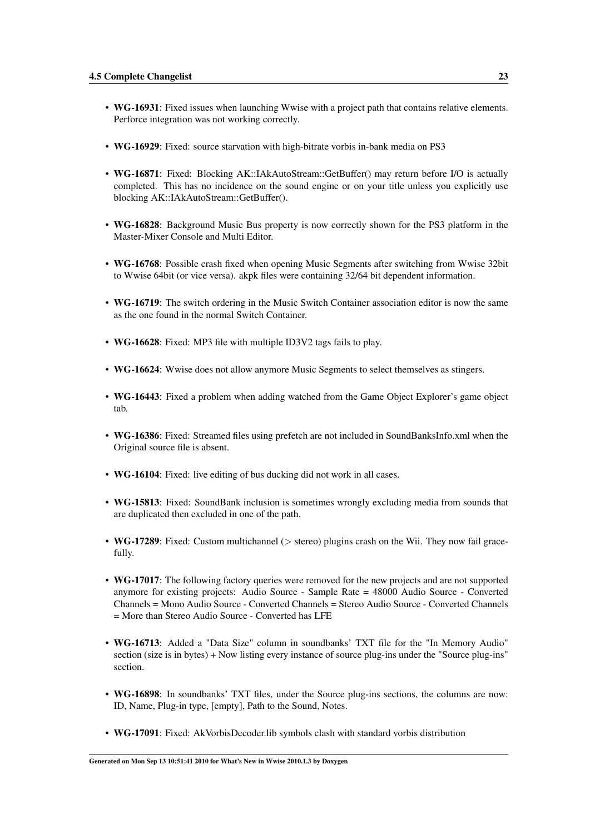- WG-16931: Fixed issues when launching Wwise with a project path that contains relative elements. Perforce integration was not working correctly.
- WG-16929: Fixed: source starvation with high-bitrate vorbis in-bank media on PS3
- WG-16871: Fixed: Blocking AK::IAkAutoStream::GetBuffer() may return before I/O is actually completed. This has no incidence on the sound engine or on your title unless you explicitly use blocking AK::IAkAutoStream::GetBuffer().
- WG-16828: Background Music Bus property is now correctly shown for the PS3 platform in the Master-Mixer Console and Multi Editor.
- WG-16768: Possible crash fixed when opening Music Segments after switching from Wwise 32bit to Wwise 64bit (or vice versa). akpk files were containing 32/64 bit dependent information.
- WG-16719: The switch ordering in the Music Switch Container association editor is now the same as the one found in the normal Switch Container.
- WG-16628: Fixed: MP3 file with multiple ID3V2 tags fails to play.
- WG-16624: Wwise does not allow anymore Music Segments to select themselves as stingers.
- WG-16443: Fixed a problem when adding watched from the Game Object Explorer's game object tab.
- WG-16386: Fixed: Streamed files using prefetch are not included in SoundBanksInfo.xml when the Original source file is absent.
- WG-16104: Fixed: live editing of bus ducking did not work in all cases.
- WG-15813: Fixed: SoundBank inclusion is sometimes wrongly excluding media from sounds that are duplicated then excluded in one of the path.
- WG-17289: Fixed: Custom multichannel ( $>$  stereo) plugins crash on the Wii. They now fail gracefully.
- WG-17017: The following factory queries were removed for the new projects and are not supported anymore for existing projects: Audio Source - Sample Rate = 48000 Audio Source - Converted Channels = Mono Audio Source - Converted Channels = Stereo Audio Source - Converted Channels = More than Stereo Audio Source - Converted has LFE
- WG-16713: Added a "Data Size" column in soundbanks' TXT file for the "In Memory Audio" section (size is in bytes) + Now listing every instance of source plug-ins under the "Source plug-ins" section.
- WG-16898: In soundbanks' TXT files, under the Source plug-ins sections, the columns are now: ID, Name, Plug-in type, [empty], Path to the Sound, Notes.
- WG-17091: Fixed: AkVorbisDecoder.lib symbols clash with standard vorbis distribution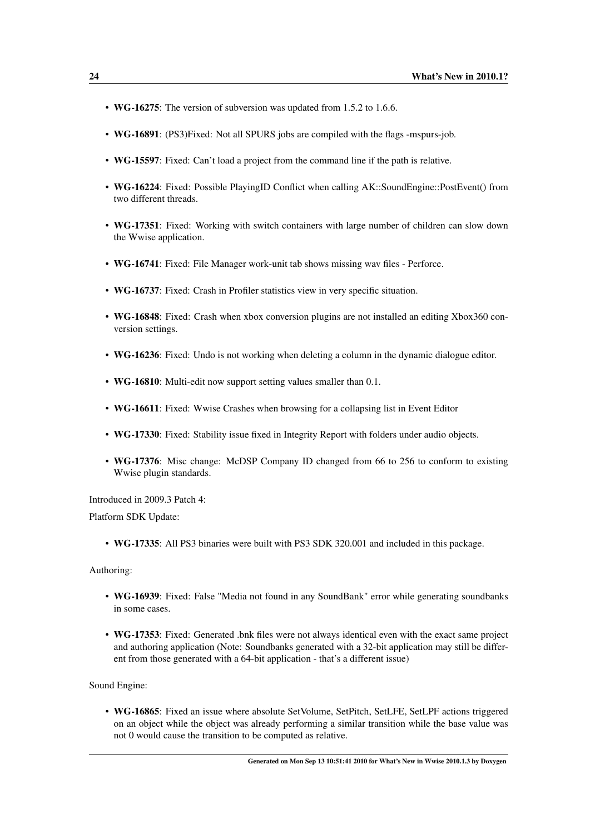- WG-16275: The version of subversion was updated from 1.5.2 to 1.6.6.
- WG-16891: (PS3)Fixed: Not all SPURS jobs are compiled with the flags -mspurs-job.
- WG-15597: Fixed: Can't load a project from the command line if the path is relative.
- WG-16224: Fixed: Possible PlayingID Conflict when calling AK::SoundEngine::PostEvent() from two different threads.
- WG-17351: Fixed: Working with switch containers with large number of children can slow down the Wwise application.
- WG-16741: Fixed: File Manager work-unit tab shows missing wav files Perforce.
- WG-16737: Fixed: Crash in Profiler statistics view in very specific situation.
- WG-16848: Fixed: Crash when xbox conversion plugins are not installed an editing Xbox360 conversion settings.
- WG-16236: Fixed: Undo is not working when deleting a column in the dynamic dialogue editor.
- WG-16810: Multi-edit now support setting values smaller than 0.1.
- WG-16611: Fixed: Wwise Crashes when browsing for a collapsing list in Event Editor
- WG-17330: Fixed: Stability issue fixed in Integrity Report with folders under audio objects.
- WG-17376: Misc change: McDSP Company ID changed from 66 to 256 to conform to existing Wwise plugin standards.

Introduced in 2009.3 Patch 4:

Platform SDK Update:

• WG-17335: All PS3 binaries were built with PS3 SDK 320.001 and included in this package.

Authoring:

- WG-16939: Fixed: False "Media not found in any SoundBank" error while generating soundbanks in some cases.
- WG-17353: Fixed: Generated .bnk files were not always identical even with the exact same project and authoring application (Note: Soundbanks generated with a 32-bit application may still be different from those generated with a 64-bit application - that's a different issue)

Sound Engine:

• WG-16865: Fixed an issue where absolute SetVolume, SetPitch, SetLFE, SetLPF actions triggered on an object while the object was already performing a similar transition while the base value was not 0 would cause the transition to be computed as relative.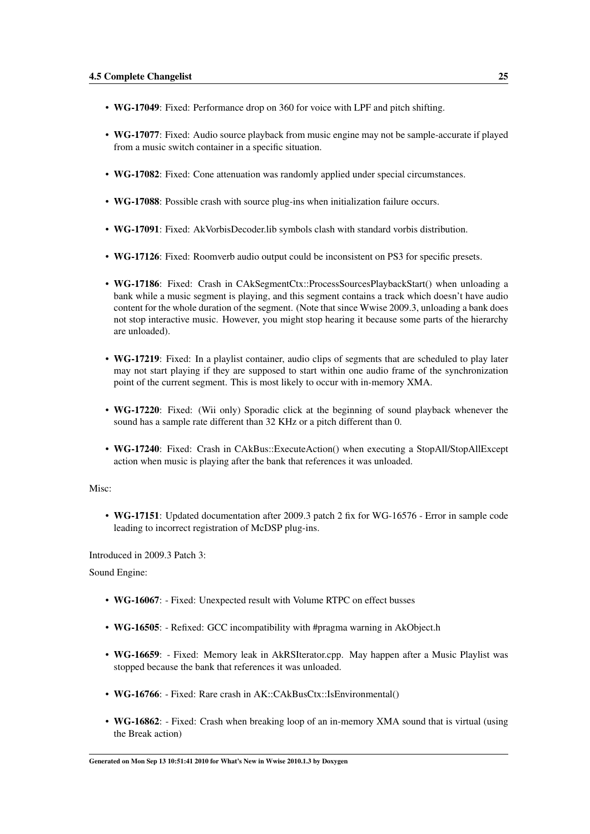- WG-17049: Fixed: Performance drop on 360 for voice with LPF and pitch shifting.
- WG-17077: Fixed: Audio source playback from music engine may not be sample-accurate if played from a music switch container in a specific situation.
- WG-17082: Fixed: Cone attenuation was randomly applied under special circumstances.
- WG-17088: Possible crash with source plug-ins when initialization failure occurs.
- WG-17091: Fixed: AkVorbisDecoder.lib symbols clash with standard vorbis distribution.
- WG-17126: Fixed: Roomverb audio output could be inconsistent on PS3 for specific presets.
- WG-17186: Fixed: Crash in CAkSegmentCtx::ProcessSourcesPlaybackStart() when unloading a bank while a music segment is playing, and this segment contains a track which doesn't have audio content for the whole duration of the segment. (Note that since Wwise 2009.3, unloading a bank does not stop interactive music. However, you might stop hearing it because some parts of the hierarchy are unloaded).
- WG-17219: Fixed: In a playlist container, audio clips of segments that are scheduled to play later may not start playing if they are supposed to start within one audio frame of the synchronization point of the current segment. This is most likely to occur with in-memory XMA.
- WG-17220: Fixed: (Wii only) Sporadic click at the beginning of sound playback whenever the sound has a sample rate different than 32 KHz or a pitch different than 0.
- WG-17240: Fixed: Crash in CAkBus::ExecuteAction() when executing a StopAll/StopAllExcept action when music is playing after the bank that references it was unloaded.

#### Misc:

• WG-17151: Updated documentation after 2009.3 patch 2 fix for WG-16576 - Error in sample code leading to incorrect registration of McDSP plug-ins.

Introduced in 2009.3 Patch 3:

Sound Engine:

- WG-16067: Fixed: Unexpected result with Volume RTPC on effect busses
- WG-16505: Refixed: GCC incompatibility with #pragma warning in AkObject.h
- WG-16659: Fixed: Memory leak in AkRSIterator.cpp. May happen after a Music Playlist was stopped because the bank that references it was unloaded.
- WG-16766: Fixed: Rare crash in AK::CAkBusCtx::IsEnvironmental()
- WG-16862: Fixed: Crash when breaking loop of an in-memory XMA sound that is virtual (using the Break action)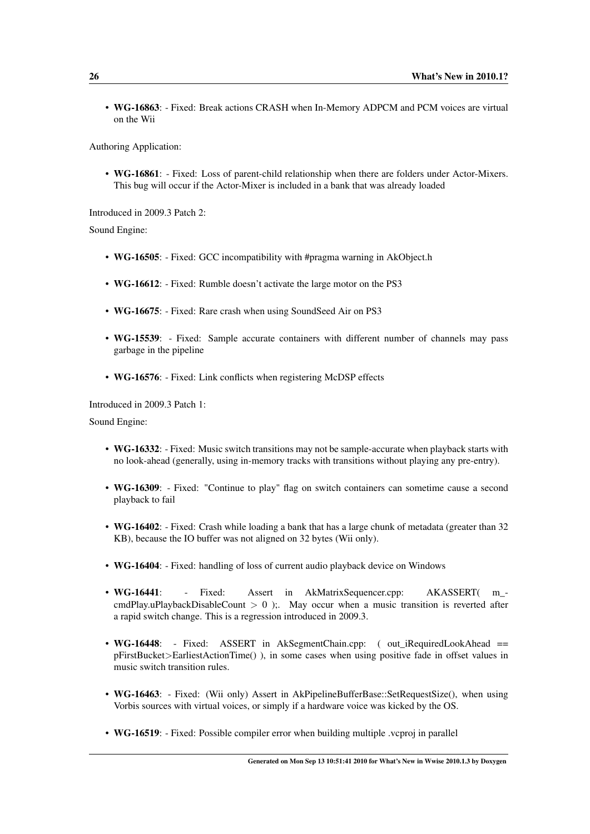• WG-16863: - Fixed: Break actions CRASH when In-Memory ADPCM and PCM voices are virtual on the Wii

Authoring Application:

• WG-16861: - Fixed: Loss of parent-child relationship when there are folders under Actor-Mixers. This bug will occur if the Actor-Mixer is included in a bank that was already loaded

Introduced in 2009.3 Patch 2:

Sound Engine:

- WG-16505: Fixed: GCC incompatibility with #pragma warning in AkObject.h
- WG-16612: Fixed: Rumble doesn't activate the large motor on the PS3
- WG-16675: Fixed: Rare crash when using SoundSeed Air on PS3
- WG-15539: Fixed: Sample accurate containers with different number of channels may pass garbage in the pipeline
- WG-16576: Fixed: Link conflicts when registering McDSP effects

Introduced in 2009.3 Patch 1:

Sound Engine:

- WG-16332: Fixed: Music switch transitions may not be sample-accurate when playback starts with no look-ahead (generally, using in-memory tracks with transitions without playing any pre-entry).
- WG-16309: Fixed: "Continue to play" flag on switch containers can sometime cause a second playback to fail
- WG-16402: Fixed: Crash while loading a bank that has a large chunk of metadata (greater than 32) KB), because the IO buffer was not aligned on 32 bytes (Wii only).
- WG-16404: Fixed: handling of loss of current audio playback device on Windows
- WG-16441: Fixed: Assert in AkMatrixSequencer.cpp: AKASSERT( m cmdPlay.uPlaybackDisableCount  $> 0$  );. May occur when a music transition is reverted after a rapid switch change. This is a regression introduced in 2009.3.
- WG-16448: Fixed: ASSERT in AkSegmentChain.cpp: (out\_iRequiredLookAhead == pFirstBucket>EarliestActionTime() ), in some cases when using positive fade in offset values in music switch transition rules.
- WG-16463: Fixed: (Wii only) Assert in AkPipelineBufferBase::SetRequestSize(), when using Vorbis sources with virtual voices, or simply if a hardware voice was kicked by the OS.
- WG-16519: Fixed: Possible compiler error when building multiple .vcproj in parallel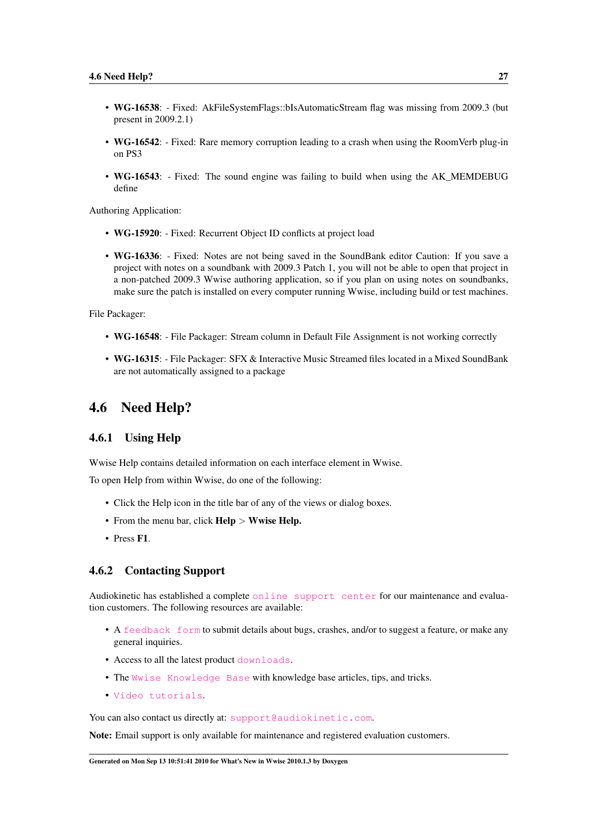- WG-16538: Fixed: AkFileSystemFlags::bIsAutomaticStream flag was missing from 2009.3 (but present in 2009.2.1)
- WG-16542: Fixed: Rare memory corruption leading to a crash when using the RoomVerb plug-in on PS3
- WG-16543: Fixed: The sound engine was failing to build when using the AK\_MEMDEBUG define

Authoring Application:

- WG-15920: Fixed: Recurrent Object ID conflicts at project load
- WG-16336: Fixed: Notes are not being saved in the SoundBank editor Caution: If you save a project with notes on a soundbank with 2009.3 Patch 1, you will not be able to open that project in a non-patched 2009.3 Wwise authoring application, so if you plan on using notes on soundbanks, make sure the patch is installed on every computer running Wwise, including build or test machines.

File Packager:

- WG-16548: File Packager: Stream column in Default File Assignment is not working correctly
- WG-16315: File Packager: SFX & Interactive Music Streamed files located in a Mixed SoundBank are not automatically assigned to a package

## <span id="page-30-0"></span>4.6 Need Help?

#### <span id="page-30-1"></span>4.6.1 Using Help

Wwise Help contains detailed information on each interface element in Wwise.

To open Help from within Wwise, do one of the following:

- Click the Help icon in the title bar of any of the views or dialog boxes.
- From the menu bar, click **Help** > Wwise **Help.**
- Press F1.

#### <span id="page-30-2"></span>4.6.2 Contacting Support

Audiokinetic has established a complete [online support center](http://www.audiokinetic.com/en/support/introduction) for our maintenance and evaluation customers. The following resources are available:

- A [feedback form](http://www.audiokinetic.com/en/support/feedback-form) to submit details about bugs, crashes, and/or to suggest a feature, or make any general inquiries.
- Access to all the latest product [downloads](http://www.audiokinetic.com/index.php?option=com_facileforms&amp;Itemid=143&amp;ff_contentid=49&amp;ff_form=39).
- The [Wwise Knowledge Base](http://kb.gowwise.com/) with knowledge base articles, tips, and tricks.
- [Video tutorials](http://www.audiokinetic.com/en/learning-center/videos).

You can also contact us directly at: [support@audiokinetic.com](mailto:support@audiokinetic.com).

Note: Email support is only available for maintenance and registered evaluation customers.